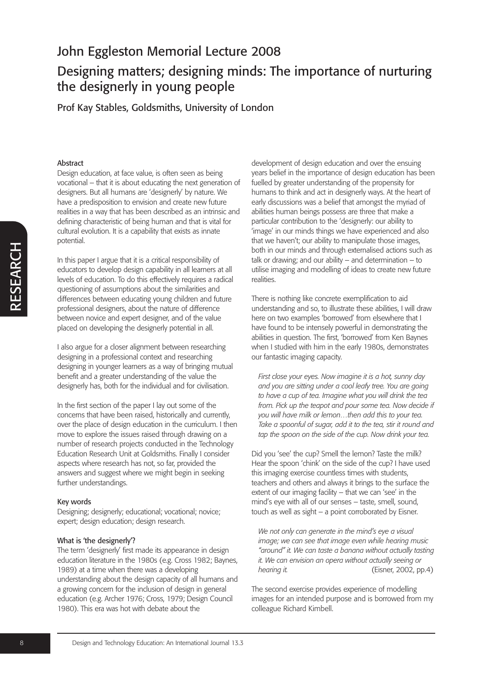# John Eggleston Memorial Lecture 2008 Designing matters; designing minds: The importance of nurturing the designerly in young people

Prof Kay Stables, Goldsmiths, University of London

#### Abstract

Design education, at face value, is often seen as being vocational – that it is about educating the next generation of designers. But all humans are 'designerly' by nature. We have a predisposition to envision and create new future realities in a way that has been described as an intrinsic and defining characteristic of being human and that is vital for cultural evolution. It is a capability that exists as innate potential.

In this paper I argue that it is a critical responsibility of educators to develop design capability in all learners at all levels of education. To do this effectively requires a radical questioning of assumptions about the similarities and differences between educating young children and future professional designers, about the nature of difference between novice and expert designer, and of the value placed on developing the designerly potential in all.

I also argue for a closer alignment between researching designing in a professional context and researching designing in younger learners as a way of bringing mutual benefit and a greater understanding of the value the designerly has, both for the individual and for civilisation.

In the first section of the paper I lay out some of the concerns that have been raised, historically and currently, over the place of design education in the curriculum. I then move to explore the issues raised through drawing on a number of research projects conducted in the Technology Education Research Unit at Goldsmiths. Finally I consider aspects where research has not, so far, provided the answers and suggest where we might begin in seeking further understandings.

#### Key words

Designing; designerly; educational; vocational; novice; expert; design education; design research.

#### What is 'the designerly'?

The term 'designerly' first made its appearance in design education literature in the 1980s (e.g. Cross 1982; Baynes, 1989) at a time when there was a developing understanding about the design capacity of all humans and a growing concern for the inclusion of design in general education (e.g. Archer 1976; Cross, 1979; Design Council 1980). This era was hot with debate about the

development of design education and over the ensuing years belief in the importance of design education has been fuelled by greater understanding of the propensity for humans to think and act in designerly ways. At the heart of early discussions was a belief that amongst the myriad of abilities human beings possess are three that make a particular contribution to the 'designerly: our ability to 'image' in our minds things we have experienced and also that we haven't; our ability to manipulate those images, both in our minds and through externalised actions such as talk or drawing; and our ability  $-$  and determination  $-$  to utilise imaging and modelling of ideas to create new future realities.

There is nothing like concrete exemplification to aid understanding and so, to illustrate these abilities, I will draw here on two examples 'borrowed' from elsewhere that I have found to be intensely powerful in demonstrating the abilities in question. The first, 'borrowed' from Ken Baynes when I studied with him in the early 1980s, demonstrates our fantastic imaging capacity.

*First close your eyes. Now imagine it is a hot, sunny day and you are sitting under a cool leafy tree. You are going to have a cup of tea. Imagine what you will drink the tea from. Pick up the teapot and pour some tea. Now decide if you will have milk or lemon…then add this to your tea. Take a spoonful of sugar, add it to the tea, stir it round and tap the spoon on the side of the cup. Now drink your tea.*

Did you 'see' the cup? Smell the lemon? Taste the milk? Hear the spoon 'chink' on the side of the cup? I have used this imaging exercise countless times with students, teachers and others and always it brings to the surface the extent of our imaging facility – that we can 'see' in the mind's eye with all of our senses – taste, smell, sound, touch as well as sight – a point corroborated by Eisner.

*We not only can generate in the mind's eye a visual image; we can see that image even while hearing music "around" it. We can taste a banana without actually tasting it. We can envision an opera without actually seeing or hearing it.* (Eisner, 2002, pp.4)

The second exercise provides experience of modelling images for an intended purpose and is borrowed from my colleague Richard Kimbell.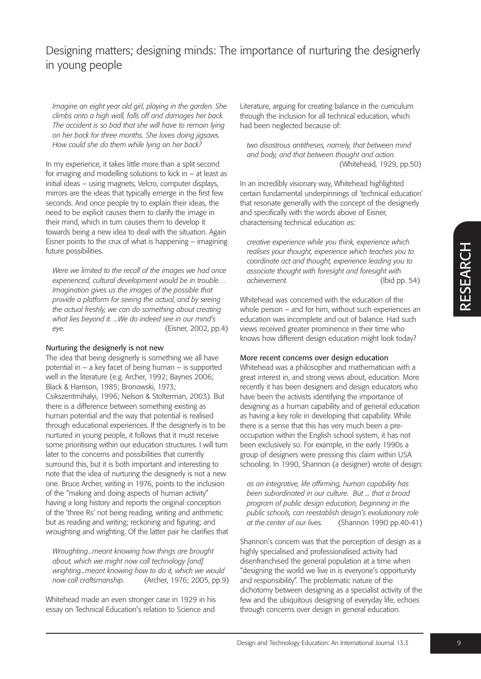*Imagine an eight year old girl, playing in the garden. She climbs onto a high wall, falls off and damages her back. The accident is so bad that she will have to remain lying on her back for three months. She loves doing jigsaws. How could she do them while lying on her back?*

In my experience, it takes little more than a split second for imaging and modelling solutions to kick in  $-$  at least as initial ideas – using magnets, Velcro, computer displays, mirrors are the ideas that typically emerge in the first few seconds. And once people try to explain their ideas, the need to be explicit causes them to clarify the image in their mind, which in turn causes them to develop it towards being a new idea to deal with the situation. Again Eisner points to the crux of what is happening – imagining future possibilities.

*Were we limited to the recall of the images we had once experienced, cultural development would be in trouble… Imagination gives us the images of the possible that provide a platform for seeing the actual, and by seeing the actual freshly, we can do something about creating what lies beyond it. ...We do indeed see in our mind's eye.* (Eisner, 2002, pp.4)

#### Nurturing the designerly is not new

The idea that being designerly is something we all have potential in – a key facet of being human – is supported well in the literature (e.g. Archer, 1992; Baynes 2006; Black & Harrison, 1985; Bronowski, 1973; Csikszentmihalyi, 1996; Nelson & Stolterman, 2003). But there is a difference between something existing as human potential and the way that potential is realised through educational experiences. If the designerly is to be nurtured in young people, it follows that it must receive some prioritising within our education structures. I will turn later to the concerns and possibilities that currently surround this, but it is both important and interesting to note that the idea of nurturing the designerly is not a new one. Bruce Archer, writing in 1976, points to the inclusion of the "making and doing aspects of human activity" having a long history and reports the original conception of the 'three Rs' not being reading, writing and arithmetic but as reading and writing; reckoning and figuring; and wroughting and wrighting. Of the latter pair he clarifies that

*Wroughting...meant knowing how things are brought about, which we might now call technology [and] wrighting...meant knowing how to do it, which we would now call craftsmanship.* (Archer, 1976; 2005, pp.9)

Whitehead made an even stronger case in 1929 in his essay on Technical Education's relation to Science and

Literature, arguing for creating balance in the curriculum through the inclusion for all technical education, which had been neglected because of:

*two disastrous antitheses, namely, that between mind and body, and that between thought and action.* (Whitehead, 1929, pp.50)

In an incredibly visionary way, Whitehead highlighted certain fundamental underpinnings of 'technical education' that resonate generally with the concept of the designerly and specifically with the words above of Eisner, characterising technical education as:

*creative experience while you think, experience which realises your thought, experience which teaches you to coordinate act and thought, experience leading you to associate thought with foresight and foresight with achievement.* (Ibid pp. 54)

Whitehead was concerned with the education of the whole person – and for him, without such experiences an education was incomplete and out of balance. Had such views received greater prominence in their time who knows how different design education might look today?

#### More recent concerns over design education

Whitehead was a philosopher and mathematician with a great interest in, and strong views about, education. More recently it has been designers and design educators who have been the activists identifying the importance of designing as a human capability and of general education as having a key role in developing that capability. While there is a sense that this has very much been a preoccupation within the English school system, it has not been exclusively so. For example, in the early 1990s a group of designers were pressing this claim within USA schooling. In 1990, Shannon (a designer) wrote of design:

*as an integrative, life affirming, human capability has been subordinated in our culture. But ... that a broad program of public design education, beginning in the public schools, can reestablish design's evolutionary role at the center of our lives.* (Shannon 1990 pp.40-41)

Shannon's concern was that the perception of design as a highly specialised and professionalised activity had disenfranchised the general population at a time when "designing the world we live in is everyone's opportunity and responsibility". The problematic nature of the dichotomy between designing as a specialist activity of the few and the ubiquitous designing of everyday life, echoes through concerns over design in general education.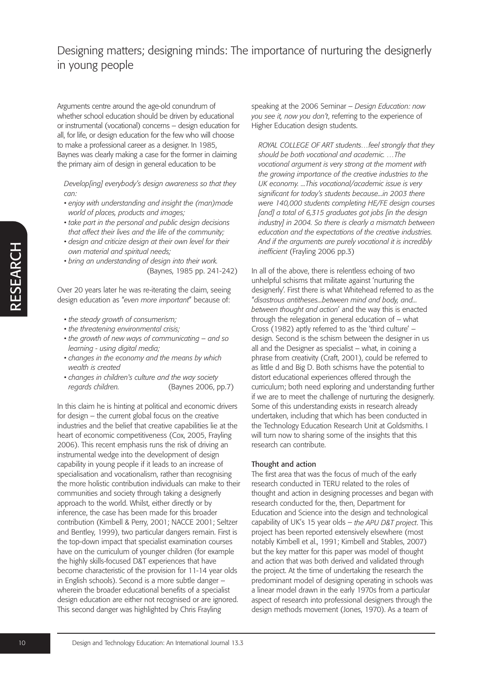Arguments centre around the age-old conundrum of whether school education should be driven by educational or instrumental (vocational) concerns – design education for all, for life, or design education for the few who will choose to make a professional career as a designer. In 1985, Baynes was clearly making a case for the former in claiming the primary aim of design in general education to be

*Develop[ing] everybody's design awareness so that they can:*

- *enjoy with understanding and insight the (man)made world of places, products and images;*
- *take part in the personal and public design decisions that affect their lives and the life of the community;*
- *design and criticize design at their own level for their own material and spiritual needs;*
- *bring an understanding of design into their work.* (Baynes, 1985 pp. 241-242)

Over 20 years later he was re-iterating the claim, seeing design education as "*even more important*" because of:

- *the steady growth of consumerism;*
- *the threatening environmental crisis;*
- *the growth of new ways of communicating and so learning - using digital media;*
- *changes in the economy and the means by which wealth is created*
- *changes in children's culture and the way society regards children.* (Baynes 2006, pp.7)

In this claim he is hinting at political and economic drivers for design – the current global focus on the creative industries and the belief that creative capabilities lie at the heart of economic competitiveness (Cox, 2005, Frayling 2006). This recent emphasis runs the risk of driving an instrumental wedge into the development of design capability in young people if it leads to an increase of specialisation and vocationalism, rather than recognising the more holistic contribution individuals can make to their communities and society through taking a designerly approach to the world. Whilst, either directly or by inference, the case has been made for this broader contribution (Kimbell & Perry, 2001; NACCE 2001; Seltzer and Bentley, 1999), two particular dangers remain. First is the top-down impact that specialist examination courses have on the curriculum of younger children (for example the highly skills-focused D&T experiences that have become characteristic of the provision for 11-14 year olds in English schools). Second is a more subtle danger – wherein the broader educational benefits of a specialist design education are either not recognised or are ignored. This second danger was highlighted by Chris Frayling

speaking at the 2006 Seminar – *Design Education: now you see it, now you don't*, referring to the experience of Higher Education design students.

*ROYAL COLLEGE OF ART students…feel strongly that they should be both vocational and academic. …The vocational argument is very strong at the moment with the growing importance of the creative industries to the UK economy. ...This vocational/academic issue is very significant for today's students because...in 2003 there were 140,000 students completing HE/FE design courses [and] a total of 6,315 graduates got jobs [in the design industry] in 2004. So there is clearly a mismatch between education and the expectations of the creative industries. And if the arguments are purely vocational it is incredibly inefficient* (Frayling 2006 pp.3)

In all of the above, there is relentless echoing of two unhelpful schisms that militate against 'nurturing the designerly'. First there is what Whitehead referred to as the "*disastrous antitheses...between mind and body, and... between thought and action*' and the way this is enacted through the relegation in general education of – what Cross (1982) aptly referred to as the 'third culture' – design. Second is the schism between the designer in us all and the Designer as specialist – what, in coining a phrase from creativity (Craft, 2001), could be referred to as little d and Big D. Both schisms have the potential to distort educational experiences offered through the curriculum; both need exploring and understanding further if we are to meet the challenge of nurturing the designerly. Some of this understanding exists in research already undertaken, including that which has been conducted in the Technology Education Research Unit at Goldsmiths. I will turn now to sharing some of the insights that this research can contribute.

#### Thought and action

The first area that was the focus of much of the early research conducted in TERU related to the roles of thought and action in designing processes and began with research conducted for the, then, Department for Education and Science into the design and technological capability of UK's 15 year olds – *the APU D&T project*. This project has been reported extensively elsewhere (most notably Kimbell et al., 1991; Kimbell and Stables, 2007) but the key matter for this paper was model of thought and action that was both derived and validated through the project. At the time of undertaking the research the predominant model of designing operating in schools was a linear model drawn in the early 1970s from a particular aspect of research into professional designers through the design methods movement (Jones, 1970). As a team of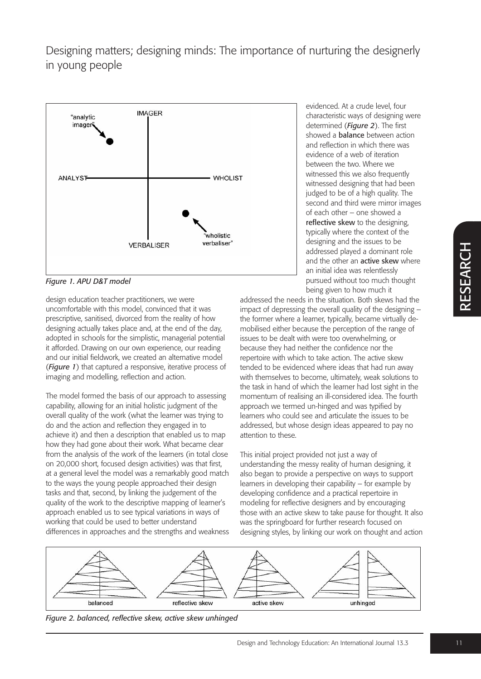

*Figure 1. APU D&T model*

design education teacher practitioners, we were uncomfortable with this model, convinced that it was prescriptive, sanitised, divorced from the reality of how designing actually takes place and, at the end of the day, adopted in schools for the simplistic, managerial potential it afforded. Drawing on our own experience, our reading and our initial fieldwork, we created an alternative model (*Figure 1*) that captured a responsive, iterative process of imaging and modelling, reflection and action.

The model formed the basis of our approach to assessing capability, allowing for an initial holistic judgment of the overall quality of the work (what the learner was trying to do and the action and reflection they engaged in to achieve it) and then a description that enabled us to map how they had gone about their work. What became clear from the analysis of the work of the learners (in total close on 20,000 short, focused design activities) was that first, at a general level the model was a remarkably good match to the ways the young people approached their design tasks and that, second, by linking the judgement of the quality of the work to the descriptive mapping of learner's approach enabled us to see typical variations in ways of working that could be used to better understand differences in approaches and the strengths and weakness

evidenced. At a crude level, four characteristic ways of designing were determined (*Figure 2*). The first showed a **balance** between action and reflection in which there was evidence of a web of iteration between the two. Where we witnessed this we also frequently witnessed designing that had been judged to be of a high quality. The second and third were mirror images of each other – one showed a reflective skew to the designing, typically where the context of the designing and the issues to be addressed played a dominant role and the other an **active skew** where an initial idea was relentlessly pursued without too much thought being given to how much it

addressed the needs in the situation. Both skews had the impact of depressing the overall quality of the designing – the former where a learner, typically, became virtually demobilised either because the perception of the range of issues to be dealt with were too overwhelming, or because they had neither the confidence nor the repertoire with which to take action. The active skew tended to be evidenced where ideas that had run away with themselves to become, ultimately, weak solutions to the task in hand of which the learner had lost sight in the momentum of realising an ill-considered idea. The fourth approach we termed un-hinged and was typified by learners who could see and articulate the issues to be addressed, but whose design ideas appeared to pay no attention to these.

This initial project provided not just a way of understanding the messy reality of human designing, it also began to provide a perspective on ways to support learners in developing their capability – for example by developing confidence and a practical repertoire in modeling for reflective designers and by encouraging those with an active skew to take pause for thought. It also was the springboard for further research focused on designing styles, by linking our work on thought and action



*Figure 2. balanced, reflective skew, active skew unhinged*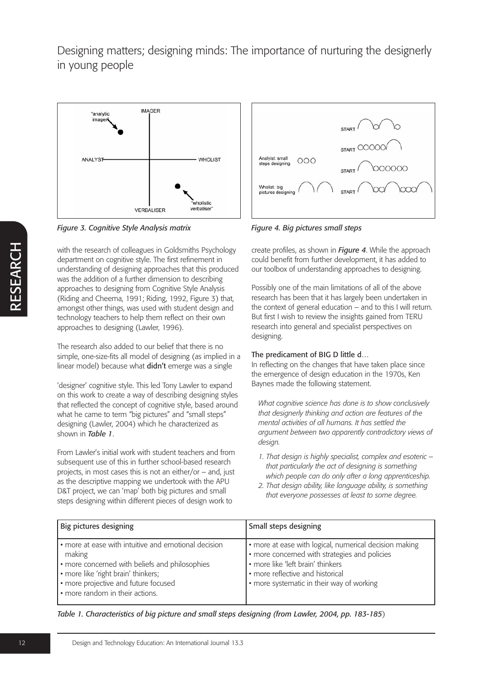

*Figure 3. Cognitive Style Analysis matrix Figure 4. Big pictures small steps*

with the research of colleagues in Goldsmiths Psychology department on cognitive style. The first refinement in understanding of designing approaches that this produced was the addition of a further dimension to describing approaches to designing from Cognitive Style Analysis (Riding and Cheema, 1991; Riding, 1992, Figure 3) that, amongst other things, was used with student design and technology teachers to help them reflect on their own approaches to designing (Lawler, 1996).

The research also added to our belief that there is no simple, one-size-fits all model of designing (as implied in a linear model) because what didn't emerge was a single

'designer' cognitive style. This led Tony Lawler to expand on this work to create a way of describing designing styles that reflected the concept of cognitive style, based around what he came to term "big pictures" and "small steps" designing (Lawler, 2004) which he characterized as shown in *Table 1*.

From Lawler's initial work with student teachers and from subsequent use of this in further school-based research projects, in most cases this is not an either/or – and, just as the descriptive mapping we undertook with the APU D&T project, we can 'map' both big pictures and small steps designing within different pieces of design work to



create profiles, as shown in *Figure 4*. While the approach could benefit from further development, it has added to our toolbox of understanding approaches to designing.

Possibly one of the main limitations of all of the above research has been that it has largely been undertaken in the context of general education – and to this I will return. But first I wish to review the insights gained from TERU research into general and specialist perspectives on designing.

### The predicament of BIG D little d…

In reflecting on the changes that have taken place since the emergence of design education in the 1970s, Ken Baynes made the following statement.

*What cognitive science has done is to show conclusively that designerly thinking and action are features of the mental activities of all humans. It has settled the argument between two apparently contradictory views of design.*

- *1. That design is highly specialist, complex and esoteric – that particularly the act of designing is something which people can do only after a long apprenticeship.*
- *2. That design ability, like language ability, is something that everyone possesses at least to some degree.*

| Big pictures designing                                                                                                                                                                                                             | Small steps designing                                                                                                                                                                                                         |
|------------------------------------------------------------------------------------------------------------------------------------------------------------------------------------------------------------------------------------|-------------------------------------------------------------------------------------------------------------------------------------------------------------------------------------------------------------------------------|
| • more at ease with intuitive and emotional decision<br>making<br>• more concerned with beliefs and philosophies<br>• more like 'right brain' thinkers;<br>• more projective and future focused<br>• more random in their actions. | • more at ease with logical, numerical decision making<br>· more concerned with strategies and policies<br>• more like 'left brain' thinkers<br>• more reflective and historical<br>• more systematic in their way of working |

*Table 1. Characteristics of big picture and small steps designing (from Lawler, 2004, pp. 183-185*)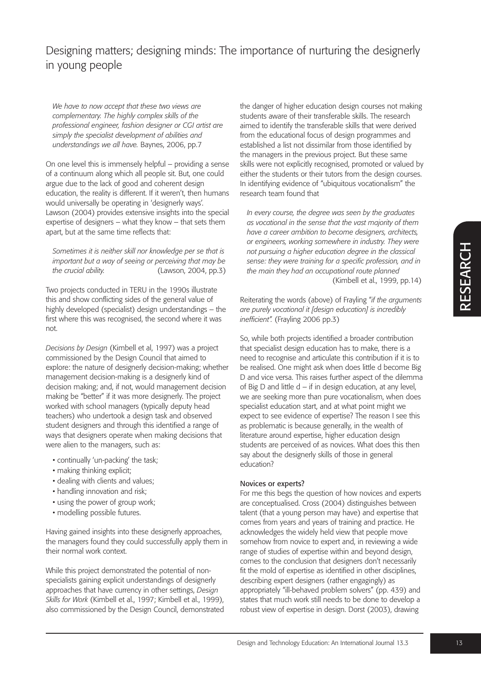*We have to now accept that these two views are complementary. The highly complex skills of the professional engineer, fashion designer or CGI artist are simply the specialist development of abilities and understandings we all have.* Baynes, 2006, pp.7

On one level this is immensely helpful – providing a sense of a continuum along which all people sit. But, one could argue due to the lack of good and coherent design education, the reality is different. If it weren't, then humans would universally be operating in 'designerly ways'. Lawson (2004) provides extensive insights into the special expertise of designers – what they know – that sets them apart, but at the same time reflects that:

*Sometimes it is neither skill nor knowledge per se that is important but a way of seeing or perceiving that may be the crucial ability.* (Lawson, 2004, pp.3)

Two projects conducted in TERU in the 1990s illustrate this and show conflicting sides of the general value of highly developed (specialist) design understandings – the first where this was recognised, the second where it was not.

*Decisions by Design* (Kimbell et al, 1997) was a project commissioned by the Design Council that aimed to explore: the nature of designerly decision-making; whether management decision-making is a designerly kind of decision making; and, if not, would management decision making be "better" if it was more designerly. The project worked with school managers (typically deputy head teachers) who undertook a design task and observed student designers and through this identified a range of ways that designers operate when making decisions that were alien to the managers, such as:

- continually 'un-packing' the task;
- making thinking explicit;
- dealing with clients and values;
- handling innovation and risk;
- using the power of group work;
- modelling possible futures.

Having gained insights into these designerly approaches, the managers found they could successfully apply them in their normal work context.

While this project demonstrated the potential of nonspecialists gaining explicit understandings of designerly approaches that have currency in other settings, *Design Skills for Work* (Kimbell et al., 1997; Kimbell et al., 1999), also commissioned by the Design Council, demonstrated the danger of higher education design courses not making students aware of their transferable skills. The research aimed to identify the transferable skills that were derived from the educational focus of design programmes and established a list not dissimilar from those identified by the managers in the previous project. But these same skills were not explicitly recognised, promoted or valued by either the students or their tutors from the design courses. In identifying evidence of "ubiquitous vocationalism" the research team found that

*In every course, the degree was seen by the graduates as vocational in the sense that the vast majority of them have a career ambition to become designers, architects, or engineers, working somewhere in industry. They were not pursuing a higher education degree in the classical sense: they were training for a specific profession, and in the main they had an occupational route planned* (Kimbell et al., 1999, pp.14)

Reiterating the words (above) of Frayling "*if the arguments are purely vocational it [design education] is incredibly inefficient".* (Frayling 2006 pp.3)

So, while both projects identified a broader contribution that specialist design education has to make, there is a need to recognise and articulate this contribution if it is to be realised. One might ask when does little d become Big D and vice versa. This raises further aspect of the dilemma of Big D and little d – if in design education, at any level, we are seeking more than pure vocationalism, when does specialist education start, and at what point might we expect to see evidence of expertise? The reason I see this as problematic is because generally, in the wealth of literature around expertise, higher education design students are perceived of as novices. What does this then say about the designerly skills of those in general education?

#### Novices or experts?

For me this begs the question of how novices and experts are conceptualised. Cross (2004) distinguishes between talent (that a young person may have) and expertise that comes from years and years of training and practice. He acknowledges the widely held view that people move somehow from novice to expert and, in reviewing a wide range of studies of expertise within and beyond design, comes to the conclusion that designers don't necessarily fit the mold of expertise as identified in other disciplines, describing expert designers (rather engagingly) as appropriately "ill-behaved problem solvers" (pp. 439) and states that much work still needs to be done to develop a robust view of expertise in design. Dorst (2003), drawing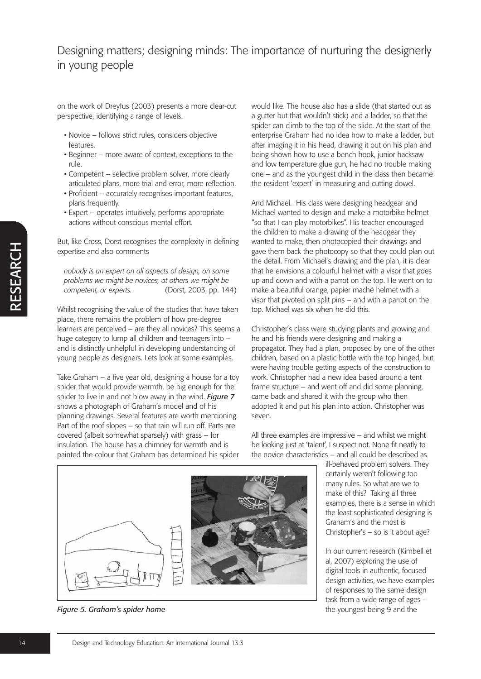on the work of Dreyfus (2003) presents a more clear-cut perspective, identifying a range of levels.

- Novice follows strict rules, considers objective features.
- Beginner more aware of context, exceptions to the rule.
- Competent selective problem solver, more clearly articulated plans, more trial and error, more reflection.
- Proficient accurately recognises important features, plans frequently.
- Expert operates intuitively, performs appropriate actions without conscious mental effort.

But, like Cross, Dorst recognises the complexity in defining expertise and also comments

*nobody is an expert on all aspects of design, on some problems we might be novices, at others we might be competent, or experts.* (Dorst, 2003, pp. 144)

Whilst recognising the value of the studies that have taken place, there remains the problem of how pre-degree learners are perceived – are they all novices? This seems a huge category to lump all children and teenagers into – and is distinctly unhelpful in developing understanding of young people as designers. Lets look at some examples.

Take Graham – a five year old, designing a house for a toy spider that would provide warmth, be big enough for the spider to live in and not blow away in the wind. *Figure 7* shows a photograph of Graham's model and of his planning drawings. Several features are worth mentioning. Part of the roof slopes – so that rain will run off. Parts are covered (albeit somewhat sparsely) with grass – for insulation. The house has a chimney for warmth and is painted the colour that Graham has determined his spider would like. The house also has a slide (that started out as a gutter but that wouldn't stick) and a ladder, so that the spider can climb to the top of the slide. At the start of the enterprise Graham had no idea how to make a ladder, but after imaging it in his head, drawing it out on his plan and being shown how to use a bench hook, junior hacksaw and low temperature glue gun, he had no trouble making one – and as the youngest child in the class then became the resident 'expert' in measuring and cutting dowel.

And Michael. His class were designing headgear and Michael wanted to design and make a motorbike helmet "so that I can play motorbikes". His teacher encouraged the children to make a drawing of the headgear they wanted to make, then photocopied their drawings and gave them back the photocopy so that they could plan out the detail. From Michael's drawing and the plan, it is clear that he envisions a colourful helmet with a visor that goes up and down and with a parrot on the top. He went on to make a beautiful orange, papier maché helmet with a visor that pivoted on split pins – and with a parrot on the top. Michael was six when he did this.

Christopher's class were studying plants and growing and he and his friends were designing and making a propagator. They had a plan, proposed by one of the other children, based on a plastic bottle with the top hinged, but were having trouble getting aspects of the construction to work. Christopher had a new idea based around a tent frame structure – and went off and did some planning, came back and shared it with the group who then adopted it and put his plan into action. Christopher was seven.

All three examples are impressive – and whilst we might be looking just at 'talent', I suspect not. None fit neatly to the novice characteristics – and all could be described as

> ill-behaved problem solvers. They certainly weren't following too many rules. So what are we to make of this? Taking all three examples, there is a sense in which the least sophisticated designing is Graham's and the most is Christopher's – so is it about age?

> In our current research (Kimbell et al, 2007) exploring the use of digital tools in authentic, focused design activities, we have examples of responses to the same design task from a wide range of ages – the youngest being 9 and the



*Figure 5. Graham's spider home*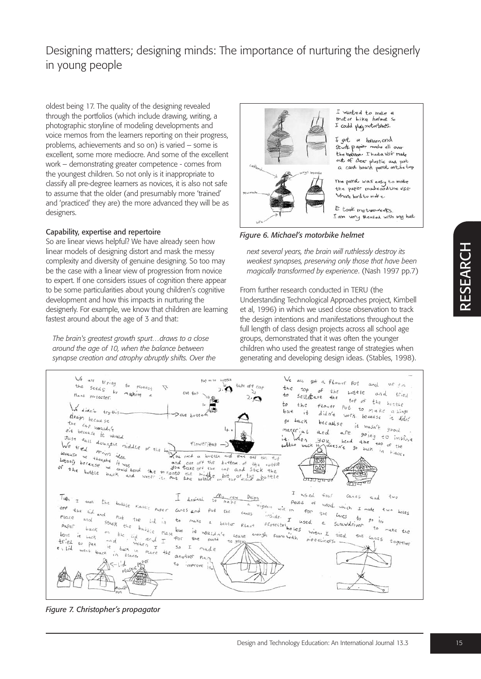oldest being 17. The quality of the designing revealed through the portfolios (which include drawing, writing, a photographic storyline of modeling developments and voice memos from the learners reporting on their progress, problems, achievements and so on) is varied – some is excellent, some more mediocre. And some of the excellent work – demonstrating greater competence - comes from the youngest children. So not only is it inappropriate to classify all pre-degree learners as novices, it is also not safe to assume that the older (and presumably more 'trained' and 'practiced' they are) the more advanced they will be as designers.

#### Capability, expertise and repertoire

So are linear views helpful? We have already seen how linear models of designing distort and mask the messy complexity and diversity of genuine designing. So too may be the case with a linear view of progression from novice to expert. If one considers issues of cognition there appear to be some particularities about young children's cognitive development and how this impacts in nurturing the designerly. For example, we know that children are learning fastest around about the age of 3 and that:

*The brain's greatest growth spurt…draws to a close around the age of 10, when the balance between synapse creation and atrophy abruptly shifts. Over the*



I wanted to make a motor bike helmet so<br>I could playmotorbites.

got a ballson and Stuck paper mode all over<br>the ballaon. I had a visir made out of chear plastic and put a card board parrot on the top

The past was easy to moke<br>the papier modreand the visir Where hard to mote.

It took methode eks. I am very pleased with my hat.

*Figure 6. Michael's motorbike helmet*

*next several years, the brain will ruthlessly destroy its weakest synapses, preserving only those that have been magically transformed by experience*. (Nash 1997 pp.7)

From further research conducted in TERU (the Understanding Technological Approaches project, Kimbell et al, 1996) in which we used close observation to track the design intentions and manifestations throughout the full length of class design projects across all school age groups, demonstrated that it was often the younger children who used the greatest range of strategies when generating and developing design ideas. (Stables, 1998).



*Figure 7. Christopher's propagator*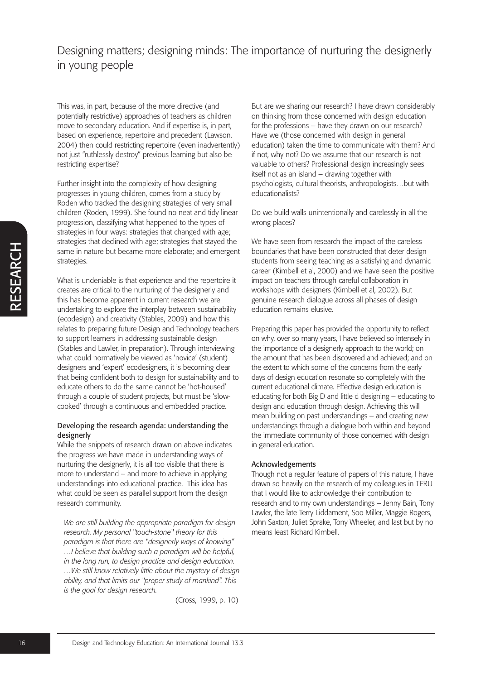This was, in part, because of the more directive (and potentially restrictive) approaches of teachers as children move to secondary education. And if expertise is, in part, based on experience, repertoire and precedent (Lawson, 2004) then could restricting repertoire (even inadvertently) not just "ruthlessly destroy" previous learning but also be restricting expertise?

Further insight into the complexity of how designing progresses in young children, comes from a study by Roden who tracked the designing strategies of very small children (Roden, 1999). She found no neat and tidy linear progression, classifying what happened to the types of strategies in four ways: strategies that changed with age; strategies that declined with age; strategies that stayed the same in nature but became more elaborate; and emergent strategies.

What is undeniable is that experience and the repertoire it creates are critical to the nurturing of the designerly and this has become apparent in current research we are undertaking to explore the interplay between sustainability (ecodesign) and creativity (Stables, 2009) and how this relates to preparing future Design and Technology teachers to support learners in addressing sustainable design (Stables and Lawler, in preparation). Through interviewing what could normatively be viewed as 'novice' (student) designers and 'expert' ecodesigners, it is becoming clear that being confident both to design for sustainability and to educate others to do the same cannot be 'hot-housed' through a couple of student projects, but must be 'slowcooked' through a continuous and embedded practice.

### Developing the research agenda: understanding the designerly

While the snippets of research drawn on above indicates the progress we have made in understanding ways of nurturing the designerly, it is all too visible that there is more to understand – and more to achieve in applying understandings into educational practice. This idea has what could be seen as parallel support from the design research community.

*We are still building the appropriate paradigm for design research. My personal "touch-stone" theory for this paradigm is that there are "designerly ways of knowing" …I believe that building such a paradigm will be helpful, in the long run, to design practice and design education. …We still know relatively little about the mystery of design ability, and that limits our "proper study of mankind". This is the goal for design research.*

(Cross, 1999, p. 10)

But are we sharing our research? I have drawn considerably on thinking from those concerned with design education for the professions – have they drawn on our research? Have we (those concerned with design in general education) taken the time to communicate with them? And if not, why not? Do we assume that our research is not valuable to others? Professional design increasingly sees itself not as an island – drawing together with psychologists, cultural theorists, anthropologists…but with educationalists?

Do we build walls unintentionally and carelessly in all the wrong places?

We have seen from research the impact of the careless boundaries that have been constructed that deter design students from seeing teaching as a satisfying and dynamic career (Kimbell et al, 2000) and we have seen the positive impact on teachers through careful collaboration in workshops with designers (Kimbell et al, 2002). But genuine research dialogue across all phases of design education remains elusive.

Preparing this paper has provided the opportunity to reflect on why, over so many years, I have believed so intensely in the importance of a designerly approach to the world; on the amount that has been discovered and achieved; and on the extent to which some of the concerns from the early days of design education resonate so completely with the current educational climate. Effective design education is educating for both Big D and little d designing – educating to design and education through design. Achieving this will mean building on past understandings – and creating new understandings through a dialogue both within and beyond the immediate community of those concerned with design in general education.

### Acknowledgements

Though not a regular feature of papers of this nature, I have drawn so heavily on the research of my colleagues in TERU that I would like to acknowledge their contribution to research and to my own understandings – Jenny Bain, Tony Lawler, the late Terry Liddament, Soo Miller, Maggie Rogers, John Saxton, Juliet Sprake, Tony Wheeler, and last but by no means least Richard Kimbell.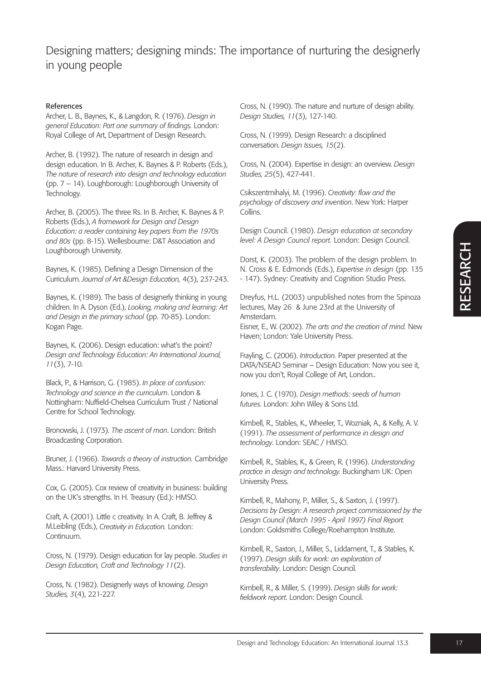### References

Archer, L. B., Baynes, K., & Langdon, R. (1976). *Design in general Education: Part one summary of findings.* London: Royal College of Art, Department of Design Research.

Archer, B. (1992). The nature of research in design and design education. In B. Archer, K. Baynes & P. Roberts (Eds.), *The nature of research into design and technology education* (pp. 7 – 14). Loughborough: Loughborough University of Technology.

Archer, B. (2005). The three Rs. In B. Archer, K. Baynes & P. Roberts (Eds.), *A framework for Design and Design Education: a reader containing key papers from the 1970s and 80s* (pp. 8-15). Wellesbourne: D&T Association and Loughborough University.

Baynes, K. (1985). Defining a Design Dimension of the Curriculum. *Journal of Art &Design Education,* 4(3), 237-243.

Baynes, K. (1989). The basis of designerly thinking in young children. In A. Dyson (Ed.), *Looking, making and learning: Art and Design in the primary school* (pp. 70-85). London: Kogan Page.

Baynes, K. (2006). Design education: what's the point? *Design and Technology Education: An International Journal, 11*(3), 7-10.

Black, P., & Harrison, G. (1985). *In place of confusion: Technology and science in the curriculum*. London & Nottingham: Nuffield-Chelsea Curriculum Trust / National Centre for School Technology.

Bronowski, J. (1973). *The ascent of man*. London: British Broadcasting Corporation.

Bruner, J. (1966). *Towards a theory of instruction.* Cambridge Mass.: Harvard University Press.

Cox, G. (2005). Cox review of creativity in business: building on the UK's strengths. In H. Treasury (Ed.): HMSO.

Craft, A. (2001). Little c creativity. In A. Craft, B. Jeffrey & M.Leibling (Eds.), *Creativity in Education.* London: Continuum.

Cross, N. (1979). Design education for lay people. *Studies in Design Education, Craft and Technology 11*(2).

Cross, N. (1982). Designerly ways of knowing. *Design Studies, 3*(4), 221-227.

Cross, N. (1990). The nature and nurture of design ability. *Design Studies, 11*(3), 127-140.

Cross, N. (1999). Design Research: a disciplined conversation. *Design Issues, 15*(2).

Cross, N. (2004). Expertise in design: an overview. *Design Studies, 25*(5), 427-441.

Csikszentmihalyi, M. (1996). *Creativity: flow and the psychology of discovery and invention*. New York: Harper Collins.

Design Council. (1980). *Design education at secondary level: A Design Council report.* London: Design Council.

Dorst, K. (2003). The problem of the design problem. In N. Cross & E. Edmonds (Eds.), *Expertise in design* (pp. 135 - 147). Sydney: Creativity and Cognition Studio Press.

Dreyfus, H.L. (2003) unpublished notes from the Spinoza lectures, May 26 & June 23rd at the University of Amsterdam.

Eisner, E., W. (2002). *The arts and the creation of mind.* New Haven; London: Yale University Press.

Frayling, C. (2006). *Introduction.* Paper presented at the DATA/NSEAD Seminar – Design Education: Now you see it, now you don't, Royal College of Art, London..

Jones, J. C. (1970). *Design methods: seeds of human futures.* London: John Wiley & Sons Ltd.

Kimbell, R., Stables, K., Wheeler, T., Wozniak, A., & Kelly, A. V. (1991). *The assessment of performance in design and technology*. London: SEAC / HMSO.

Kimbell, R., Stables, K., & Green, R. (1996). *Understanding practice in design and technology.* Buckingham UK: Open University Press.

Kimbell, R., Mahony, P., Miller, S., & Saxton, J. (1997). *Decisions by Design: A research project commissioned by the Design Council (March 1995 - April 1997) Final Report.* London: Goldsmiths College/Roehampton Institute.

Kimbell, R., Saxton, J., Miller, S., Liddament, T., & Stables, K. (1997). *Design skills for work: an exploration of transferability*. London: Design Council.

Kimbell, R., & Miller, S. (1999). *Design skills for work: fieldwork report*. London: Design Council.